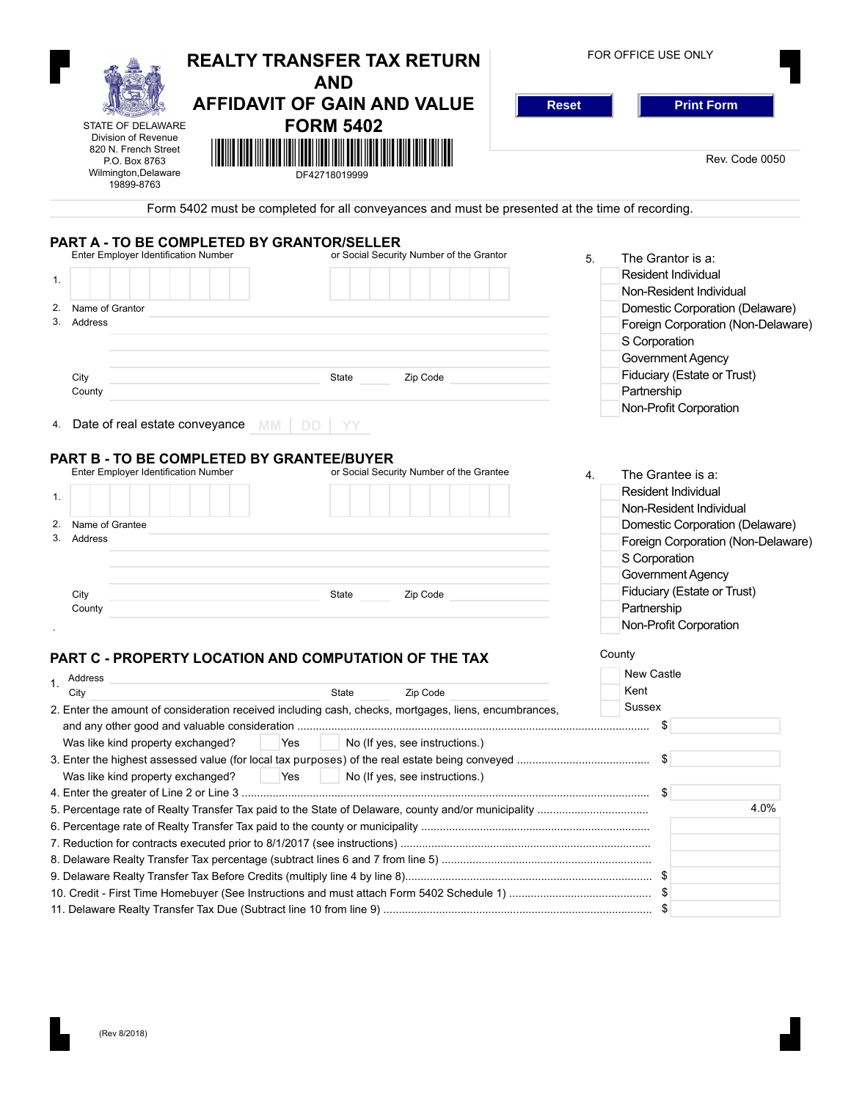|                                                                                                       | <b>REALTY TRANSFER TAX RETURN</b><br><b>AND</b>                                                                       | FOR OFFICE USE ONLY                |
|-------------------------------------------------------------------------------------------------------|-----------------------------------------------------------------------------------------------------------------------|------------------------------------|
|                                                                                                       | <b>AFFIDAVIT OF GAIN AND VALUE</b><br><b>Reset</b>                                                                    | <b>Print Form</b>                  |
| <b>STATE OF DELAWARE</b>                                                                              | <b>FORM 5402</b>                                                                                                      |                                    |
| Division of Revenue<br>820 N. French Street                                                           | <u> Harry Harry Harry Harry Harry Harry Harry Harry Harry Harry Harry Harry Harry Harry Harry Harry Harry Harry H</u> |                                    |
| P.O. Box 8763<br>Wilmington, Delaware<br>19899-8763                                                   | DF42718019999                                                                                                         | Rev. Code 0050                     |
|                                                                                                       | Form 5402 must be completed for all conveyances and must be presented at the time of recording.                       |                                    |
| PART A - TO BE COMPLETED BY GRANTOR/SELLER                                                            |                                                                                                                       |                                    |
| <b>Enter Employer Identification Number</b>                                                           | or Social Security Number of the Grantor                                                                              | The Grantor is a:<br>5.            |
|                                                                                                       |                                                                                                                       | <b>Resident Individual</b>         |
| 1.                                                                                                    |                                                                                                                       | Non-Resident Individual            |
| 2.<br>Name of Grantor                                                                                 |                                                                                                                       | Domestic Corporation (Delaware)    |
| 3.<br><b>Address</b>                                                                                  |                                                                                                                       | Foreign Corporation (Non-Delaware) |
|                                                                                                       |                                                                                                                       |                                    |
|                                                                                                       |                                                                                                                       | S Corporation                      |
|                                                                                                       |                                                                                                                       | Government Agency                  |
| City                                                                                                  | State<br>Zip Code                                                                                                     | Fiduciary (Estate or Trust)        |
| County                                                                                                |                                                                                                                       | Partnership                        |
| 4. Date of real estate conveyance<br><b>MM</b><br>DD.                                                 | YΥ                                                                                                                    | Non-Profit Corporation             |
| PART B - TO BE COMPLETED BY GRANTEE/BUYER<br>Enter Employer Identification Number                     | or Social Security Number of the Grantee                                                                              | The Grantee is a:<br>4.            |
|                                                                                                       |                                                                                                                       | <b>Resident Individual</b>         |
| 1.                                                                                                    |                                                                                                                       | Non-Resident Individual            |
|                                                                                                       |                                                                                                                       |                                    |
| Name of Grantee<br>3.<br>Address                                                                      |                                                                                                                       | Domestic Corporation (Delaware)    |
|                                                                                                       |                                                                                                                       | Foreign Corporation (Non-Delaware) |
|                                                                                                       |                                                                                                                       | S Corporation                      |
|                                                                                                       |                                                                                                                       | Government Agency                  |
| City                                                                                                  | State<br>Zip Code                                                                                                     | Fiduciary (Estate or Trust)        |
| County                                                                                                |                                                                                                                       | Partnership                        |
|                                                                                                       |                                                                                                                       | Non-Profit Corporation             |
| PART C - PROPERTY LOCATION AND COMPUTATION OF THE TAX                                                 |                                                                                                                       | County                             |
| Address                                                                                               |                                                                                                                       | New Castle                         |
| 1.<br>City                                                                                            | <b>State</b><br>Zip Code                                                                                              | Kent                               |
| 2. Enter the amount of consideration received including cash, checks, mortgages, liens, encumbrances, |                                                                                                                       | Sussex                             |
|                                                                                                       |                                                                                                                       | \$                                 |
| Was like kind property exchanged?<br>Yes                                                              | No (If yes, see instructions.)                                                                                        |                                    |
|                                                                                                       |                                                                                                                       | \$                                 |
| Was like kind property exchanged?<br>Yes                                                              | No (If yes, see instructions.)                                                                                        |                                    |
|                                                                                                       |                                                                                                                       |                                    |
|                                                                                                       |                                                                                                                       | 4.0%                               |
|                                                                                                       |                                                                                                                       |                                    |
|                                                                                                       |                                                                                                                       |                                    |
|                                                                                                       |                                                                                                                       |                                    |
|                                                                                                       |                                                                                                                       |                                    |
|                                                                                                       |                                                                                                                       |                                    |
|                                                                                                       |                                                                                                                       |                                    |
|                                                                                                       |                                                                                                                       |                                    |